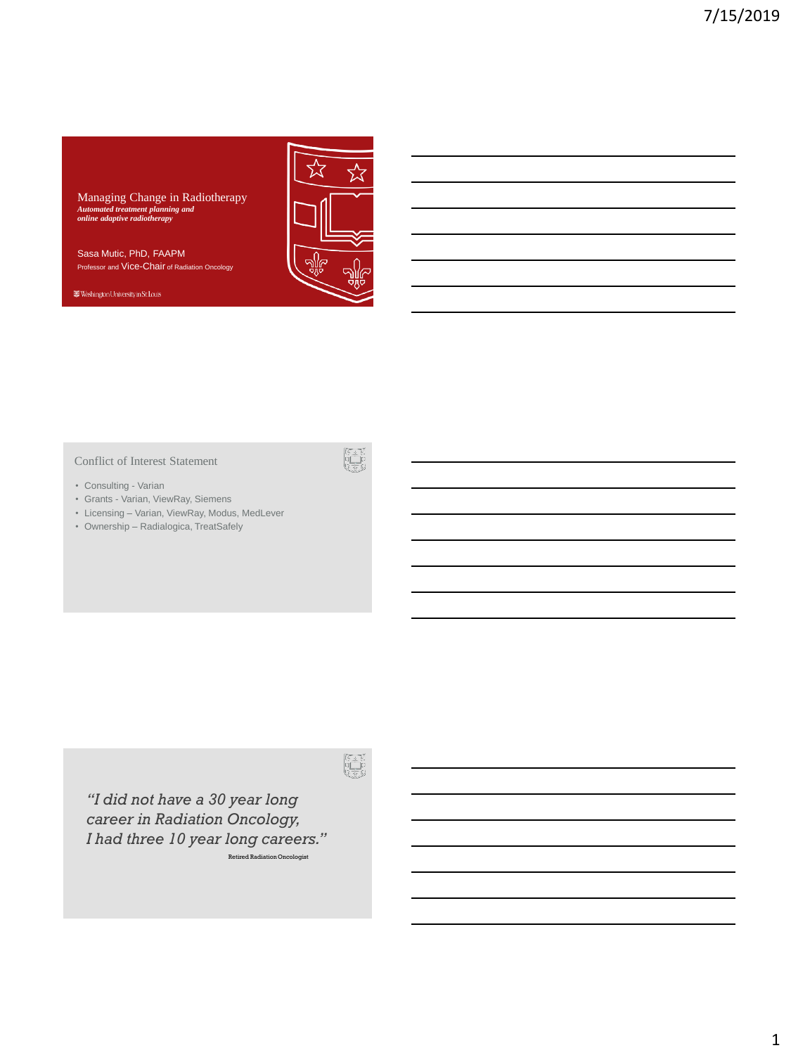Managing Change in Radiotherapy *Automated treatment planning and online adaptive radiotherapy*

Sasa Mutic, PhD, FAAPM Professor and Vice-Chair of Radiation Oncology

Washington University in St. Louis



#### Conflict of Interest Statement

- Consulting Varian
- Grants Varian, ViewRay, Siemens
- Licensing Varian, ViewRay, Modus, MedLever
- Ownership Radialogica, TreatSafely

*"I did not have a 30 year long career in Radiation Oncology, I had three 10 year long careers."* Retired Radiation Oncologist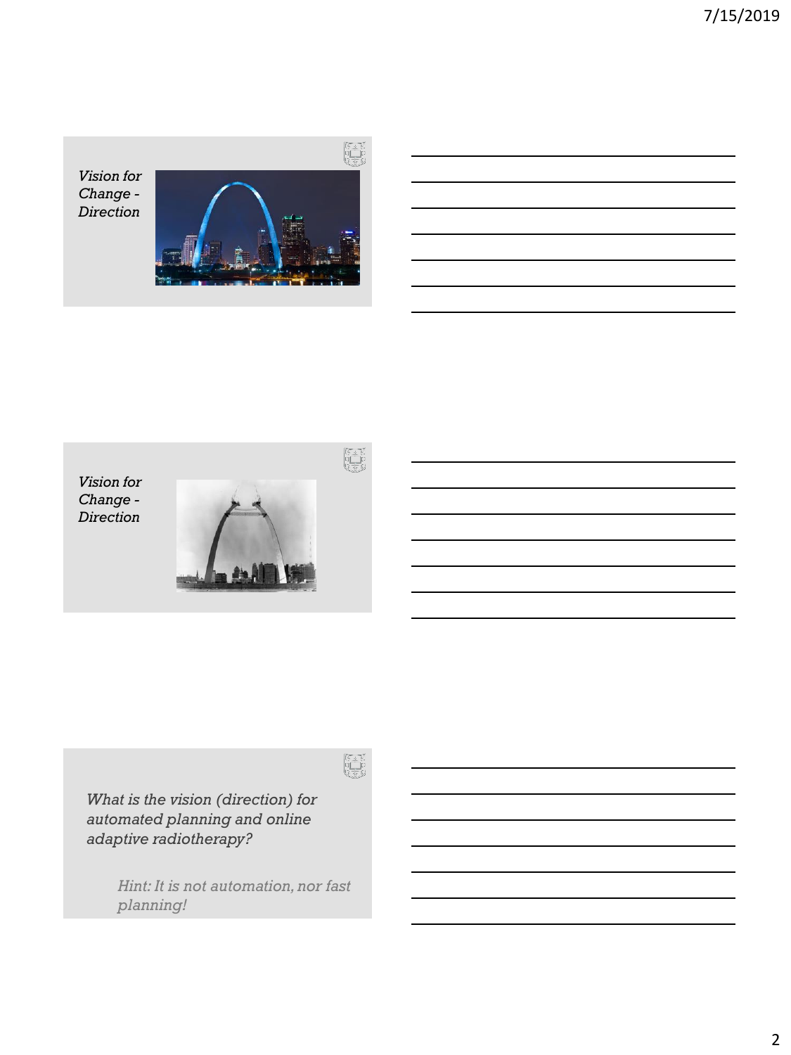*Vision for Change - Direction*





*What is the vision (direction) for automated planning and online adaptive radiotherapy?*

> *Hint: It is not automation, nor fast planning!*

 $\begin{bmatrix} \xi^* & \xi \\ 0 & \xi \\ 0 & \xi \\ \xi & \xi^* \end{bmatrix}$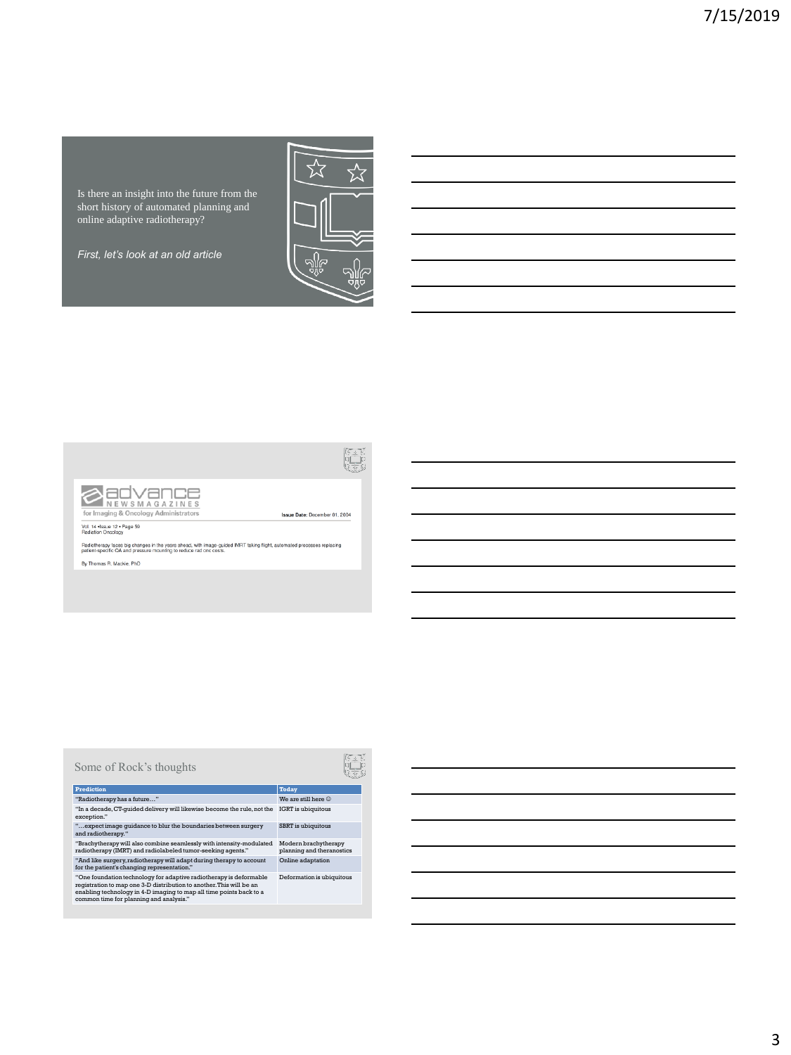Is there an insight into the future from the short history of automated planning and online adaptive radiotherapy?

*First, let's look at an old article*





Vol. 14 +Issue 12 + Page 59<br>Radiation Oncology

Radiotherapy faces big changes in the years ahead, with image-guided IMRT taking flight, automated processes replacing<br>patient-specific QA and pressure mounting to reduce rad onc costs.

By Thomas R. Mackie, PhD

# Some of Rock's thoughts

# **Prediction Today** "Radiotherapy has a future…" We are still here ☺ "In a decade, CT-guided delivery will likewise become the rule, not the exception." IGRT is ubiquitous

"…expect image guidance to blur the boundaries between surgery and radiotherapy. " SBRT is ubiquitous

"Brachytherapy will also combine seamlessly with intensity-modulated Modern brachytherapy<br>radiotherapy (IMRT) and radiolabeled tumor-seeking agents." Hand ike surgery, radiotherapy (IMRT) and radiolabeled tumor-seeking age

"One foundation technology for adaptive radiotherapy is deformable<br>registration to map one 3-D distribution to another. This will be an<br>enabling technology in 4-D imaging to map all time points back to a<br>common time for pl



 $\begin{bmatrix} \overline{b} & \underline{b} \\ \underline{b} \\ \underline{b} \\ \underline{b} \end{bmatrix}$ 

Issue Date: December 01, 2004

# Deformation is ubiquitous

3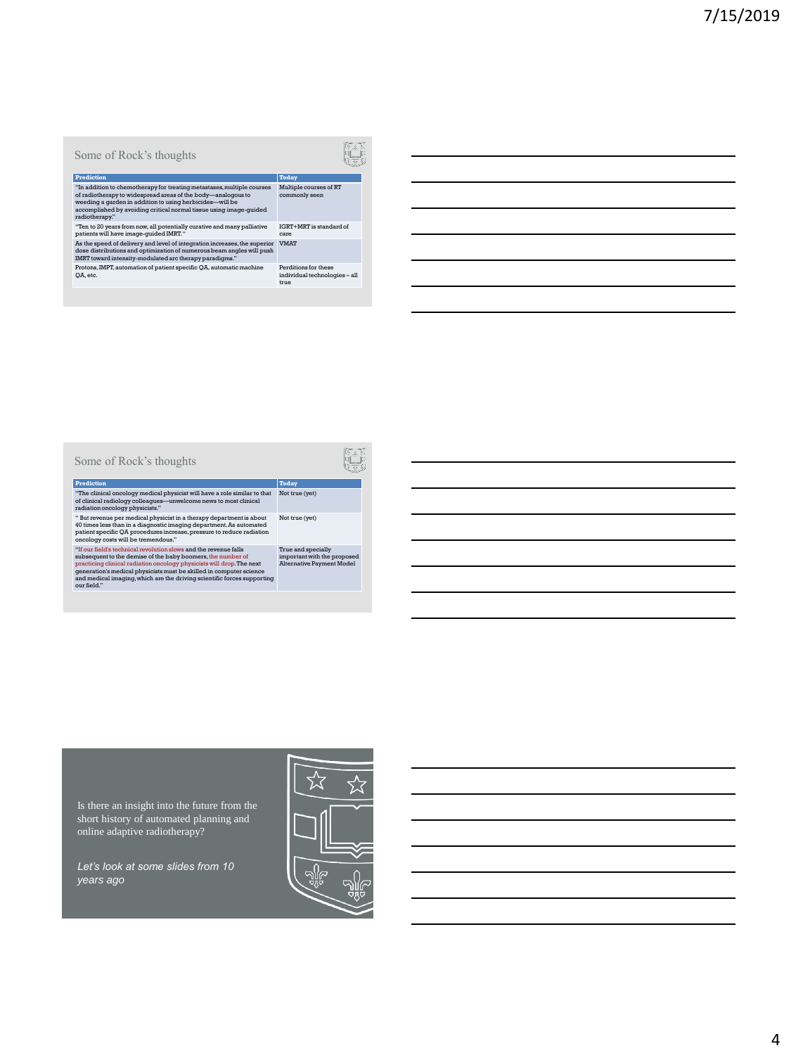# Some of Rock's thoughts Prediction<br>
and discussions of the main metastases, multiple courses<br>
Shalip courses Multiple courses (and the body — analogous to<br>
ommeding a garden in addition to using herbicides—will be<br>
accomplished by avoiding critic Multiple courses of RT commonly seen "Ten to 20 years from now, all potentially curative and many palliative IGN creations and many palliative care<br>patients will have image-guided IMRT."<br>As the speed of delivery and level of integration increases, the superi IGRT+MRT is standard of VMAT Protons, IMPT, automation of patient specific QA, automatic machine QA, etc. Perditions for these individual technologies – all true

Some of Rock's thoughts

Prediction<br>"The clinical oncology medical physicist will have a role similar to that Not tru<br>of clinical radialogy colleagues—unwelcome news to most clinical<br>radiation oncology physicists." Not true (yet)

" But revenue per medical physicist in a therapy department is about<br>consider the solution subsection and diagnostic imaging department. As automated<br>pairent specific QA procedures increase, pressure to reduce radiation<br>c

| Not true (vet)                                                                        |
|---------------------------------------------------------------------------------------|
| True and specially<br>important with the proposed<br><b>Alternative Payment Model</b> |

Is there an insight into the future from the short history of automated planning and online adaptive radiotherapy?

*Let's look at some slides from 10 years ago*

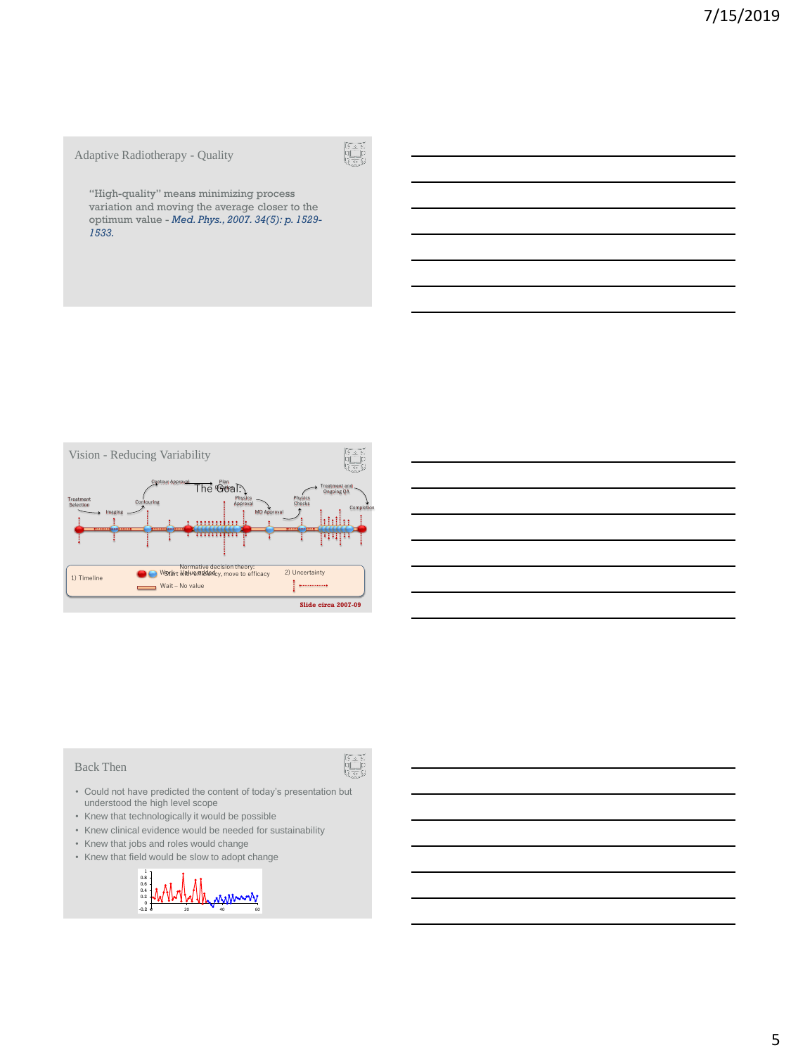# Adaptive Radiotherapy - Quality

"High-quality" means minimizing process variation and moving the average closer to the optimum value - *Med. Phys., 2007. 34(5): p. 1529- 1533.*



#### Back Then

- Could not have predicted the content of today's presentation but understood the high level scope
- Knew that technologically it would be possible
- Knew clinical evidence would be needed for sustainability
- Knew that jobs and roles would change
- Knew that field would be slow to adopt change

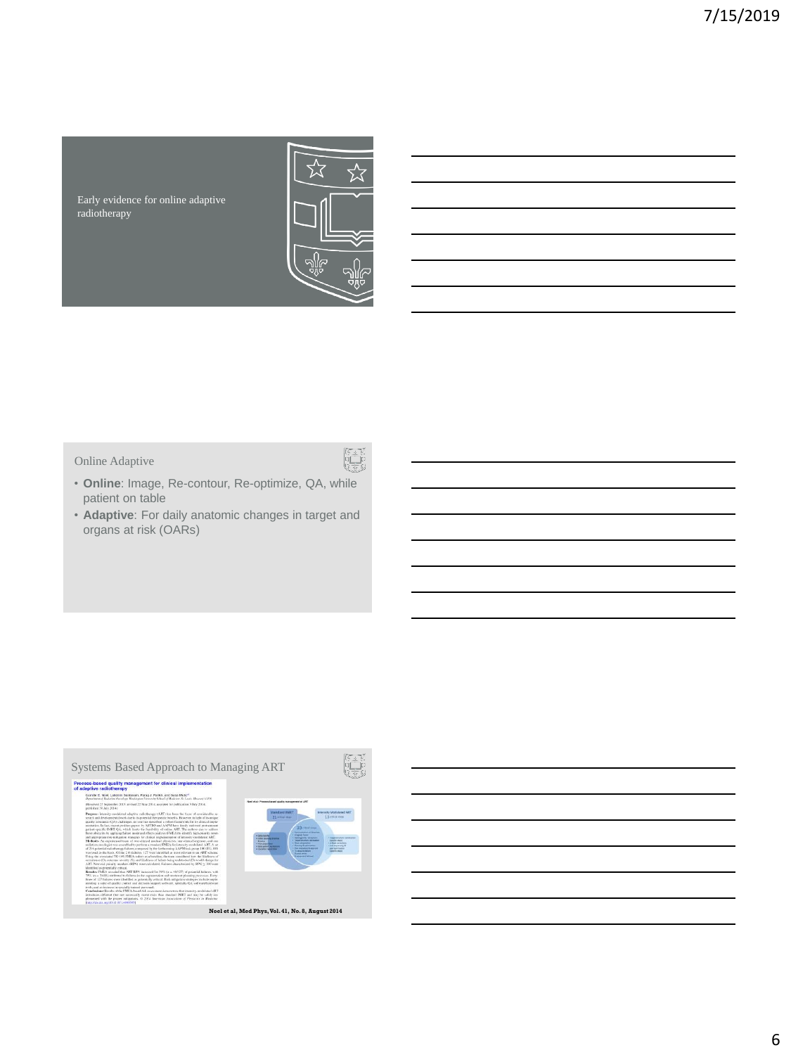Early evidence for online adaptive radiotherapy



# Online Adaptive

- r<br>V
- **Online**: Image, Re-contour, Re-optimize, QA, while patient on table
- **Adaptive**: For daily anatomic changes in target and organs at risk (OARs)

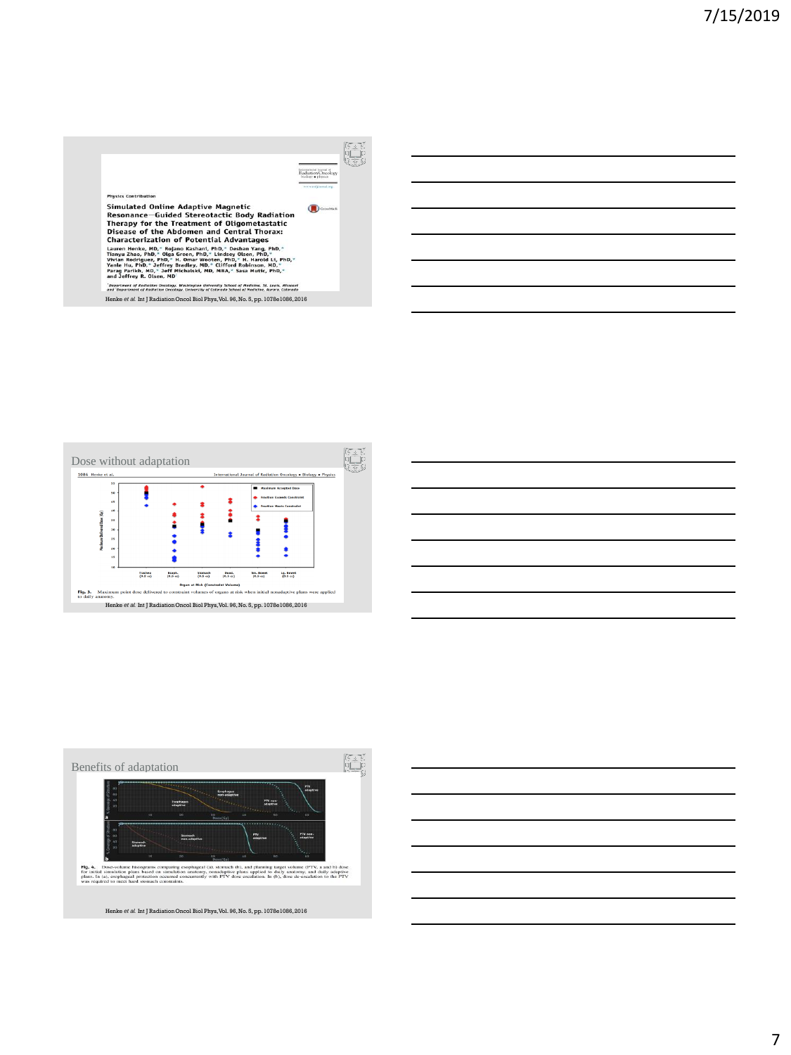







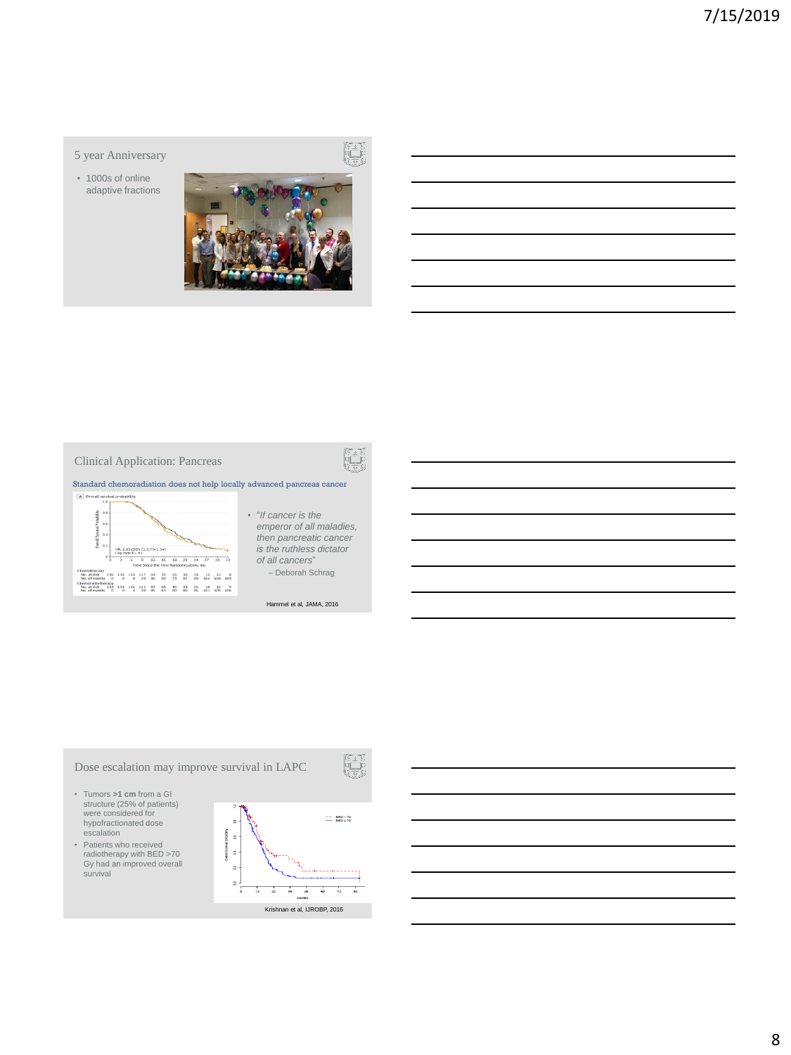#### 5 year Anniversary

• 1000s of online adaptive fractions







- "*If cancer is the emperor of all maladies, then pancreatic cancer is the ruthless dictator of all cancers*" – Deborah Schrag
	- Hammel et al, JAMA, 2016

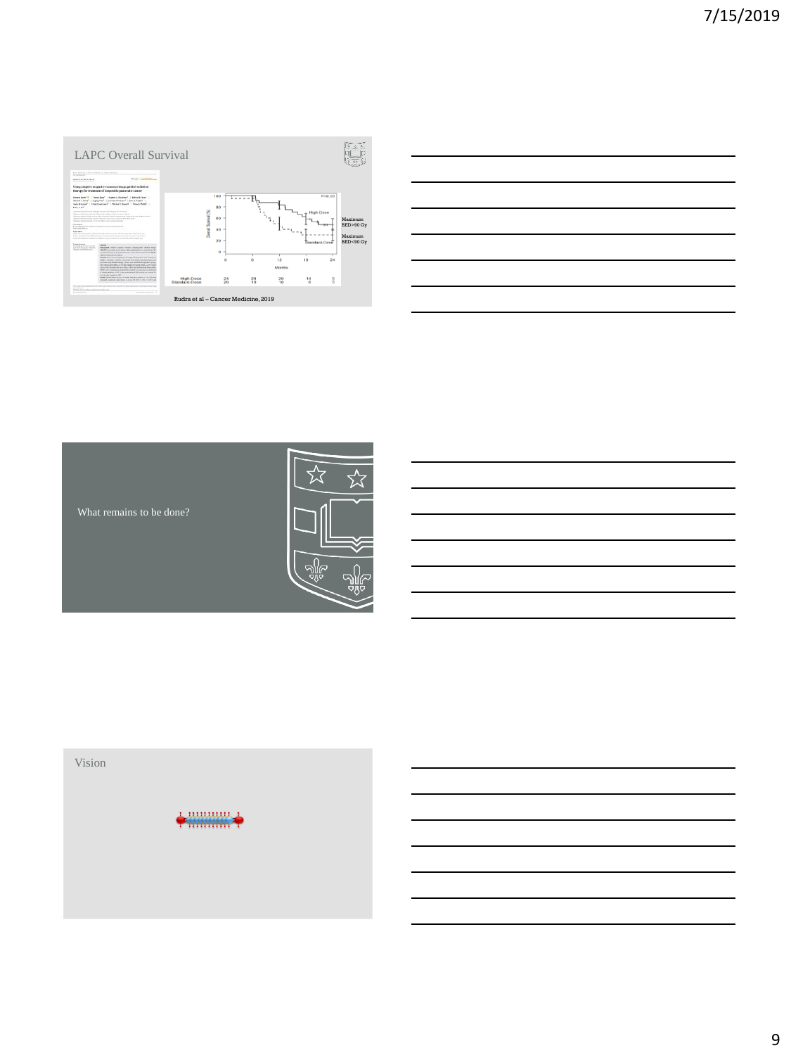







9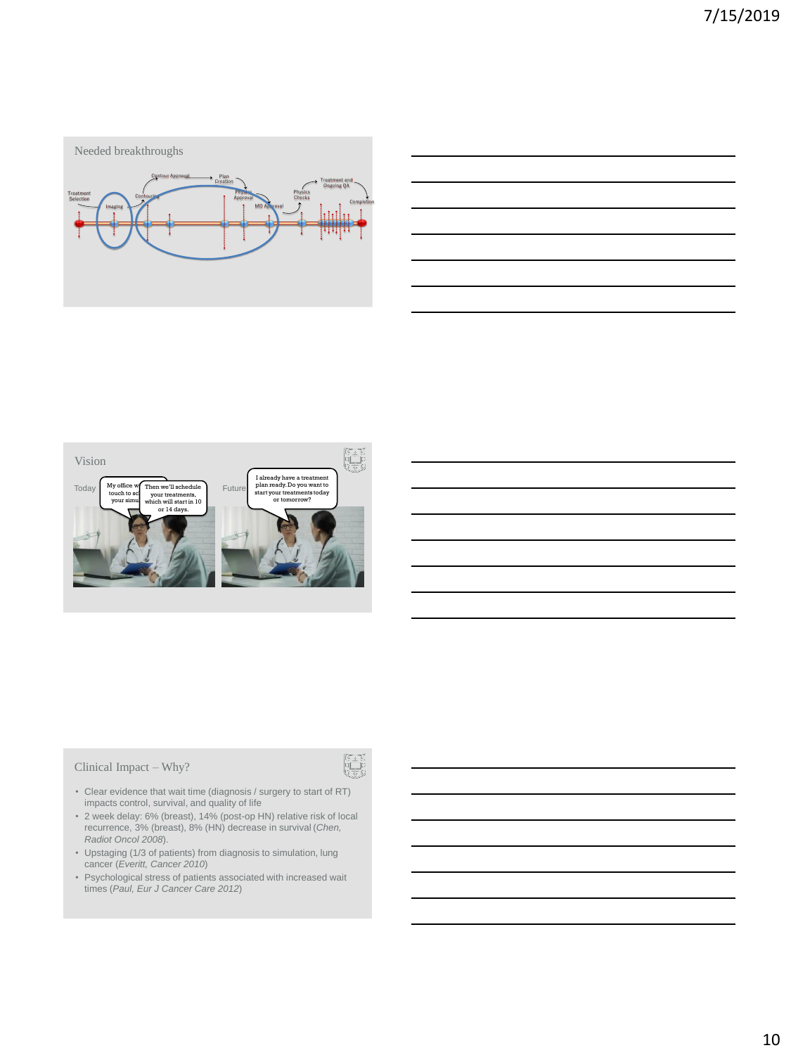



Clinical Impact – Why?

- 
- Clear evidence that wait time (diagnosis / surgery to start of RT) impacts control, survival, and quality of life
- 2 week delay: 6% (breast), 14% (post-op HN) relative risk of local recurrence, 3% (breast), 8% (HN) decrease in survival (*Chen, Radiot Oncol 2008*).
- Upstaging (1/3 of patients) from diagnosis to simulation, lung cancer (*Everitt, Cancer 2010*)
- Psychological stress of patients associated with increased wait times (*Paul, Eur J Cancer Care 2012*)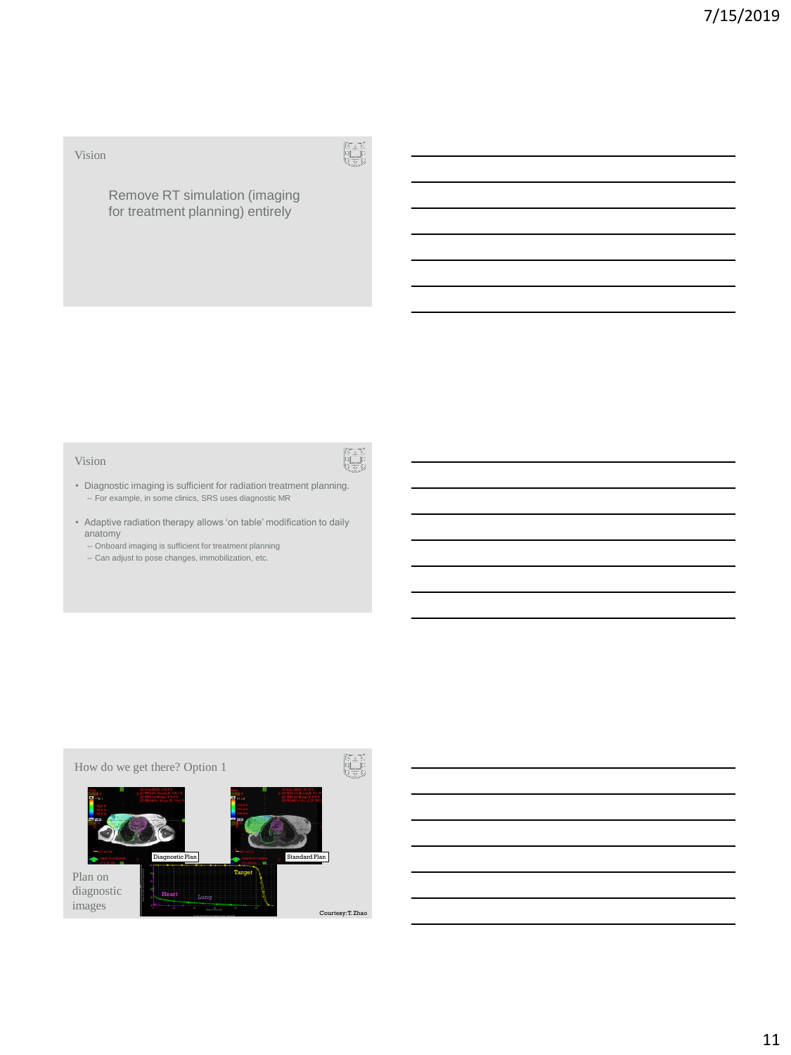# Vision



# Remove RT simulation (imaging for treatment planning) entirely

#### Vision



- Diagnostic imaging is sufficient for radiation treatment planning. – For example, in some clinics, SRS uses diagnostic MR
- Adaptive radiation therapy allows 'on table' modification to daily anatomy
	- Onboard imaging is sufficient for treatment planning
	- Can adjust to pose changes, immobilization, etc.

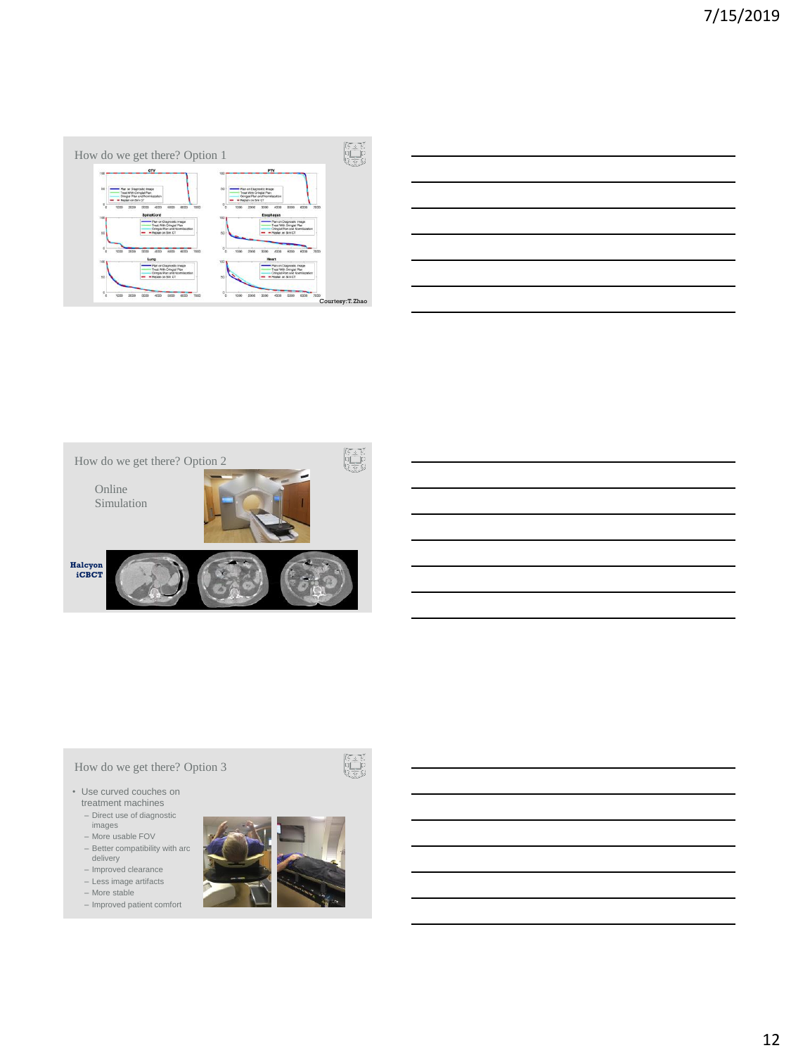

| ______ |  |  |
|--------|--|--|
|        |  |  |
|        |  |  |
| _____  |  |  |
|        |  |  |



# How do we get there? Option 3

- Use curved couches on treatment machines
	- Direct use of diagnostic images
	- More usable FOV
	- Better compatibility with arc delivery
	- Improved clearance
	- Less image artifacts More stable
	- Improved patient comfort



阿